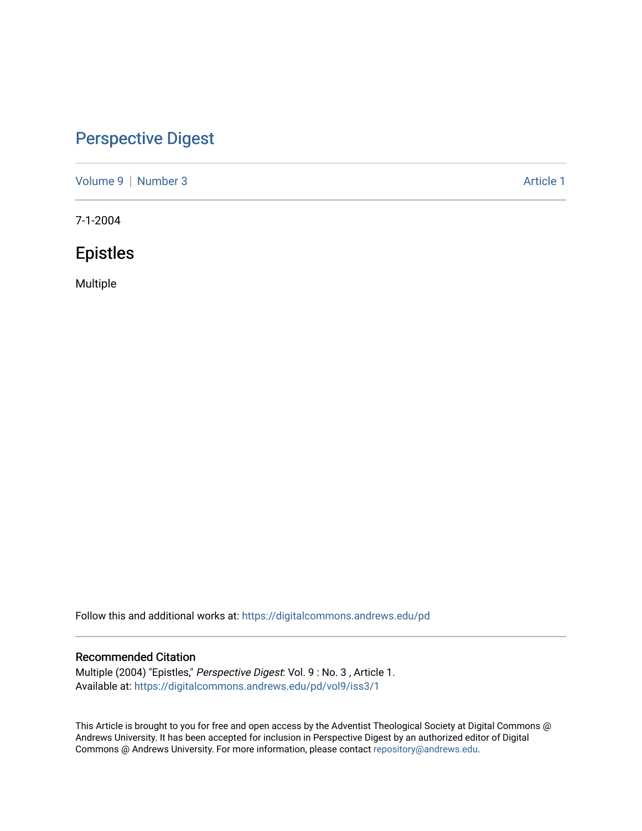# [Perspective Digest](https://digitalcommons.andrews.edu/pd)

[Volume 9](https://digitalcommons.andrews.edu/pd/vol9) | [Number 3](https://digitalcommons.andrews.edu/pd/vol9/iss3) Article 1

7-1-2004

# Epistles

Multiple

Follow this and additional works at: [https://digitalcommons.andrews.edu/pd](https://digitalcommons.andrews.edu/pd?utm_source=digitalcommons.andrews.edu%2Fpd%2Fvol9%2Fiss3%2F1&utm_medium=PDF&utm_campaign=PDFCoverPages)

## Recommended Citation

Multiple (2004) "Epistles," Perspective Digest: Vol. 9 : No. 3 , Article 1. Available at: [https://digitalcommons.andrews.edu/pd/vol9/iss3/1](https://digitalcommons.andrews.edu/pd/vol9/iss3/1?utm_source=digitalcommons.andrews.edu%2Fpd%2Fvol9%2Fiss3%2F1&utm_medium=PDF&utm_campaign=PDFCoverPages)

This Article is brought to you for free and open access by the Adventist Theological Society at Digital Commons @ Andrews University. It has been accepted for inclusion in Perspective Digest by an authorized editor of Digital Commons @ Andrews University. For more information, please contact [repository@andrews.edu.](mailto:repository@andrews.edu)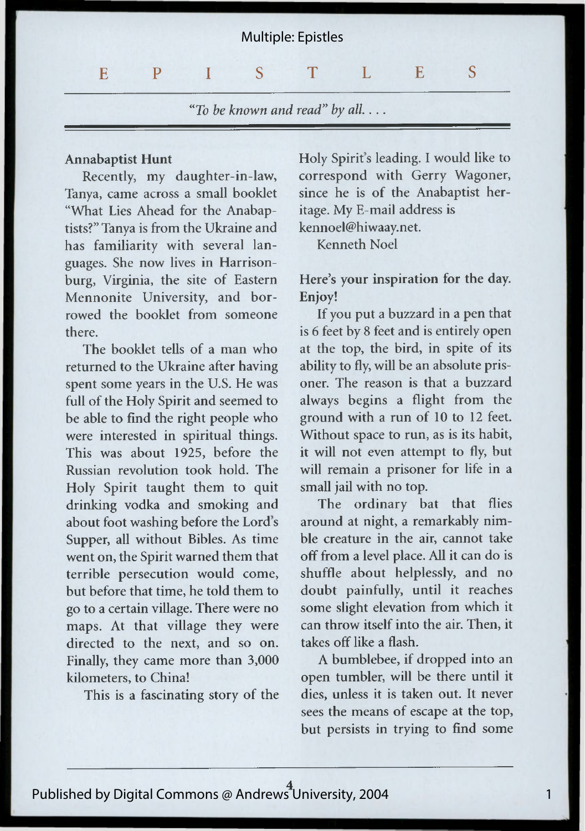

*"To be known and read" by all*. ...

#### Annabaptist Hunt

Recently, my daughter-in-law, Tanya, came across a small booklet "What Lies Ahead for the Anabaptists?" Tanya is from the Ukraine and has familiarity with several languages. She now lives in Harrisonburg, Virginia, the site of Eastern Mennonite University, and borrowed the booklet from someone there.

The booklet tells of a man who returned to the Ukraine after having spent some years in the U.S. He was full of the Holy Spirit and seemed to be able to find the right people who were interested in spiritual things. This was about 1925, before the Russian revolution took hold. The Holy Spirit taught them to quit drinking vodka and smoking and about foot washing before the Lord's Supper, all without Bibles. As time went on, the Spirit warned them that terrible persecution would come, but before that time, he told them to go to a certain village. There were no maps. At that village they were directed to the next, and so on. Finally, they came more than 3,000 kilometers, to China!

This is a fascinating story of the

Holy Spirit's leading. I would like to correspond with Gerry Wagoner, since he is of the Anabaptist heritage. My E-mail address is [kennoel@hiwaay.net](mailto:kennoel@hiwaay.net). Kenneth Noel

## Here's your inspiration for the day. Enjoy!

If you put a buzzard in a pen that is 6 feet by 8 feet and is entirely open at the top, the bird, in spite of its ability to fly, will be an absolute prisoner. The reason is that a buzzard always begins a flight from the ground with a run of 10 to 12 feet. Without space to run, as is its habit, it will not even attempt to fly, but will remain a prisoner for life in a small jail with no top.

The ordinary bat that flies around at night, a remarkably nimble creature in the air, cannot take off from a level place. All it can do is shuffle about helplessly, and no doubt painfully, until it reaches some slight elevation from which it can throw itself into the air. Then, it takes off like a flash.

A bumblebee, if dropped into an open tumbler, will be there until it dies, unless it is taken out. It never sees the means of escape at the top, but persists in trying to find some

1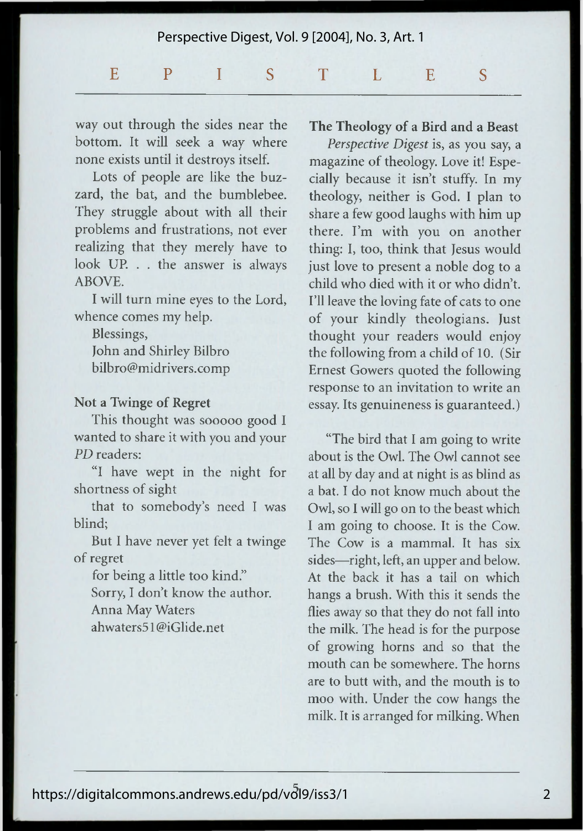## Perspective Digest, Vol. 9 [2004], No. 3, Art. 1 EPISTLES S

way out through the sides near the bottom. It will seek a way where none exists until it destroys itself.

Lots of people are like the buzzard, the bat, and the bumblebee. They struggle about with all their problems and frustrations, not ever realizing that they merely have to look UP. . . the answer is always ABOVE.

I will turn mine eyes to the Lord, whence comes my help.

Blessings, John and Shirley Bilbro bilbro@midrivers.comp

### **Not a Twinge of Regret**

This thought was sooooo good I wanted to share it with you and your *PD* readers:

"I have wept in the night for shortness of sight

that to somebody's need I was blind;

But I have never yet felt a twinge of regret

for being a little too kind." Sorry, I don't know the author. Anna May Waters ahwaters51 @iGlide.net

### **The Theology of a Bird and a Beast**

*Perspective Digest* is, as you say, a magazine of theology. Love it! Especially because it isn't stuffy. In my theology, neither is God. I plan to share a few good laughs with him up there. I'm with you on another thing: I, too, think that Jesus would just love to present a noble dog to a child who died with it or who didn't. I'll leave the loving fate of cats to one of your kindly theologians. Just thought your readers would enjoy the following from a child of 10. (Sir Ernest Gowers quoted the following response to an invitation to write an essay. Its genuineness is guaranteed.)

"The bird that I am going to write about is the Owl. The Owl cannot see at all by day and at night is as blind as a bat. I do not know much about the Owl, so I will go on to the beast which I am going to choose. It is the Cow. The Cow is a mammal. It has six sides—right, left, an upper and below. At the back it has a tail on which hangs a brush. With this it sends the flies away so that they do not fall into the milk. The head is for the purpose of growing horns and so that the mouth can be somewhere. The horns are to butt with, and the mouth is to moo with. Under the cow hangs the milk. It is arranged for milking. When